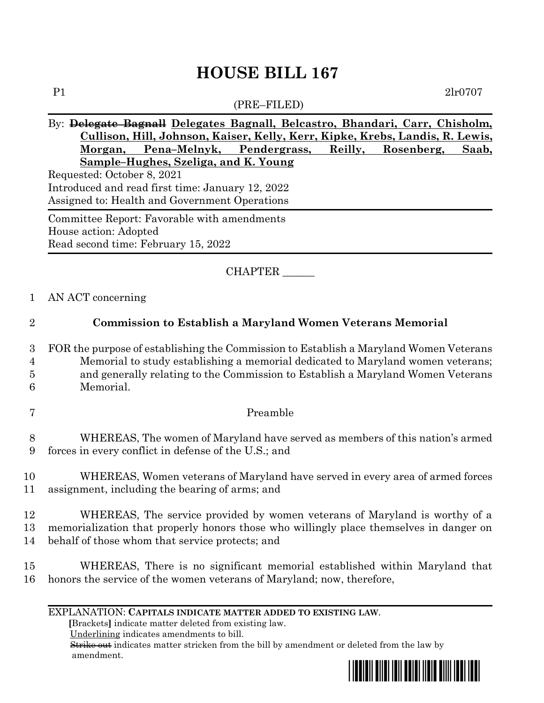# **HOUSE BILL 167** P1 2lr0707

## (PRE–FILED) By: **Delegate Bagnall Delegates Bagnall, Belcastro, Bhandari, Carr, Chisholm, Cullison, Hill, Johnson, Kaiser, Kelly, Kerr, Kipke, Krebs, Landis, R. Lewis, Morgan, Pena–Melnyk, Pendergrass, Reilly, Rosenberg, Saab, Sample–Hughes, Szeliga, and K. Young** Requested: October 8, 2021 Introduced and read first time: January 12, 2022 Assigned to: Health and Government Operations Committee Report: Favorable with amendments House action: Adopted Read second time: February 15, 2022

CHAPTER \_\_\_\_\_\_

1 AN ACT concerning

## 2 **Commission to Establish a Maryland Women Veterans Memorial**

 FOR the purpose of establishing the Commission to Establish a Maryland Women Veterans Memorial to study establishing a memorial dedicated to Maryland women veterans; and generally relating to the Commission to Establish a Maryland Women Veterans Memorial.

7 Preamble

8 WHEREAS, The women of Maryland have served as members of this nation's armed 9 forces in every conflict in defense of the U.S.; and

10 WHEREAS, Women veterans of Maryland have served in every area of armed forces 11 assignment, including the bearing of arms; and

12 WHEREAS, The service provided by women veterans of Maryland is worthy of a 13 memorialization that properly honors those who willingly place themselves in danger on 14 behalf of those whom that service protects; and

15 WHEREAS, There is no significant memorial established within Maryland that 16 honors the service of the women veterans of Maryland; now, therefore,

### EXPLANATION: **CAPITALS INDICATE MATTER ADDED TO EXISTING LAW**.

 **[**Brackets**]** indicate matter deleted from existing law.

Underlining indicates amendments to bill.

 Strike out indicates matter stricken from the bill by amendment or deleted from the law by amendment.

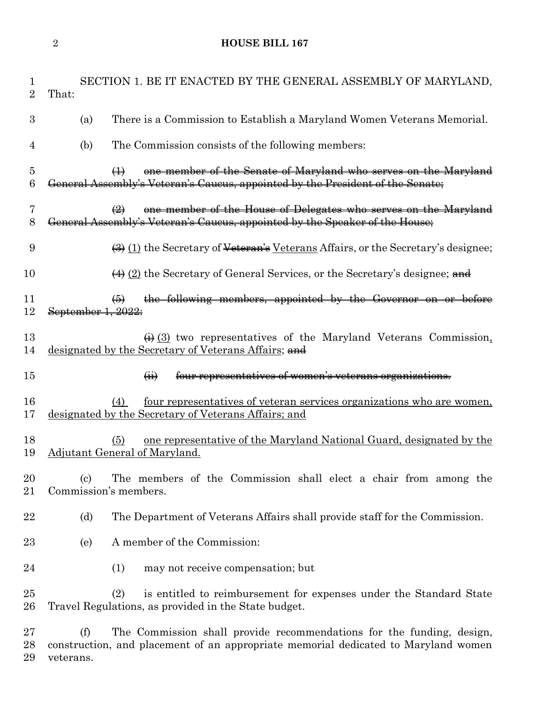**HOUSE BILL 167**

| 1<br>$\overline{2}$                | SECTION 1. BE IT ENACTED BY THE GENERAL ASSEMBLY OF MARYLAND,<br>That:                                                                                                          |
|------------------------------------|---------------------------------------------------------------------------------------------------------------------------------------------------------------------------------|
| 3                                  | There is a Commission to Establish a Maryland Women Veterans Memorial.<br>(a)                                                                                                   |
| $\overline{4}$                     | The Commission consists of the following members:<br>(b)                                                                                                                        |
| $\overline{5}$<br>$\boldsymbol{6}$ | one member of the Senate of Maryland who serves on the Maryland<br>$\bigoplus$<br>General Assembly's Veteran's Caucus, appointed by the President of the Senate;                |
| 7<br>8                             | one member of the House of Delegates who serves on the Maryland<br>$\bigoplus$<br>General Assembly's Veteran's Caucus, appointed by the Speaker of the House;                   |
| 9                                  | $\left(\frac{1}{2}\right)$ (1) the Secretary of <del>Veteran's</del> Veterans Affairs, or the Secretary's designee;                                                             |
| 10                                 | $\overline{(4)}$ (2) the Secretary of General Services, or the Secretary's designee; and                                                                                        |
| 11<br>12                           | the following members, appointed by the Governor on or before<br>$\left( 6 \right)$<br>September 1, 2022:                                                                       |
| 13<br>14                           | $\leftrightarrow$ (3) two representatives of the Maryland Veterans Commission,<br>designated by the Secretary of Veterans Affairs; and                                          |
| 15                                 | four representatives of women's veterans organizations.<br>$\overline{a}$                                                                                                       |
| 16<br>17                           | <u>four representatives of veteran services organizations who are women,</u><br>(4)<br>designated by the Secretary of Veterans Affairs; and                                     |
| 18<br>19                           | one representative of the Maryland National Guard, designated by the<br>(5)<br>Adjutant General of Maryland.                                                                    |
| 20<br>21                           | The members of the Commission shall elect a chair from among the<br>(c)<br>Commission's members.                                                                                |
| 22                                 | (d)<br>The Department of Veterans Affairs shall provide staff for the Commission.                                                                                               |
| 23                                 | A member of the Commission:<br>(e)                                                                                                                                              |
| 24                                 | may not receive compensation; but<br>(1)                                                                                                                                        |
| 25<br>26                           | (2)<br>is entitled to reimbursement for expenses under the Standard State<br>Travel Regulations, as provided in the State budget.                                               |
| 27<br>28<br>29                     | The Commission shall provide recommendations for the funding, design,<br>(f)<br>construction, and placement of an appropriate memorial dedicated to Maryland women<br>veterans. |